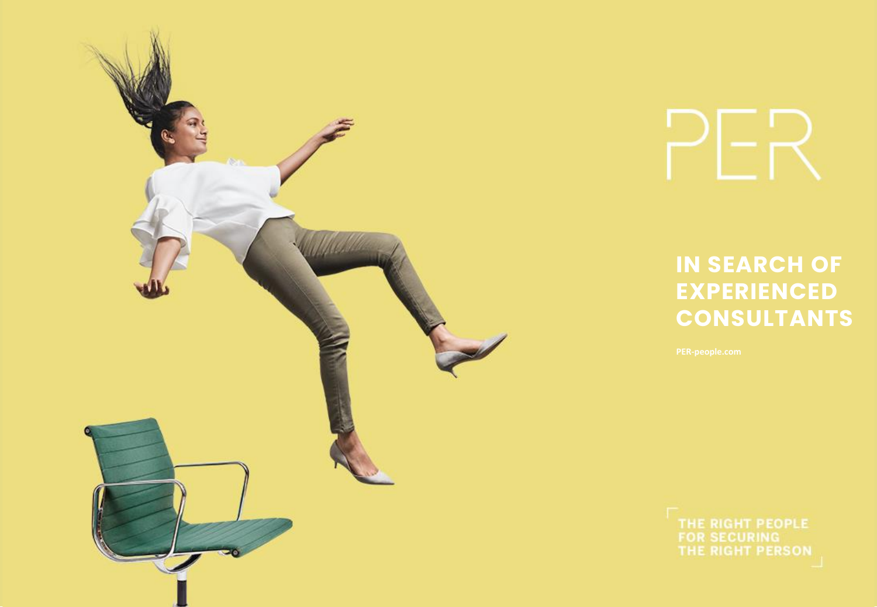

**IN SEARCH OF EXPERIENCED CONSULTANTS**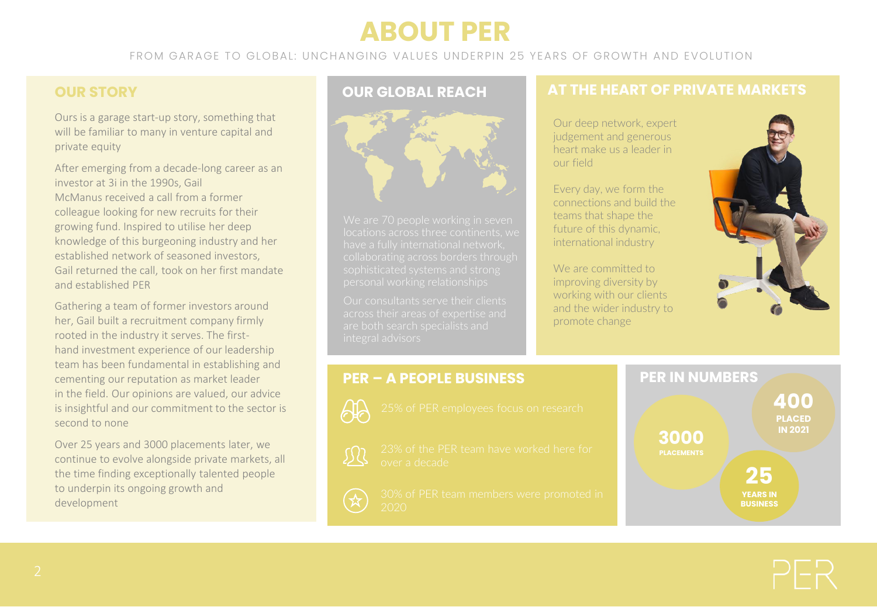# **ABOUT PER**

FROM GARAGE TO GLOBAL: UNCHANGING VALUES UNDERPIN 25 YEARS OF GROWTH AND EVOLUTION

## **OUR STORY**

Ours is a garage start-up story, something that will be familiar to many in venture capital and private equity

After emerging from a decade-long career as an investor at 3i in the 1990s, Gail McManus received a call from a former colleague looking for new recruits for their growing fund. Inspired to utilise her deep knowledge of this burgeoning industry and her established network of seasoned investors, Gail returned the call, took on her first mandate and established PER

Gathering a team of former investors around her, Gail built a recruitment company firmly rooted in the industry it serves. The firsthand investment experience of our leadership team has been fundamental in establishing and cementing our reputation as market leader in the field. Our opinions are valued, our advice is insightful and our commitment to the sector is second to none

Over 25 years and 3000 placements later, we continue to evolve alongside private markets, all the time finding exceptionally talented people to underpin its ongoing growth and development



## **OUR GLOBAL REACH AT THE HEART OF PRIVATE MARKETS**

Our deep network, expert judgement and generous heart make us a leader in our field

Every day, we form the connections and build the teams that shape the future of this dynamic, international industry

We are committed to improving diversity by working with our clients and the wider industry to promote change



## **PER – A PEOPLE BUSINESS PER IN NUMBERS**

- 
- 

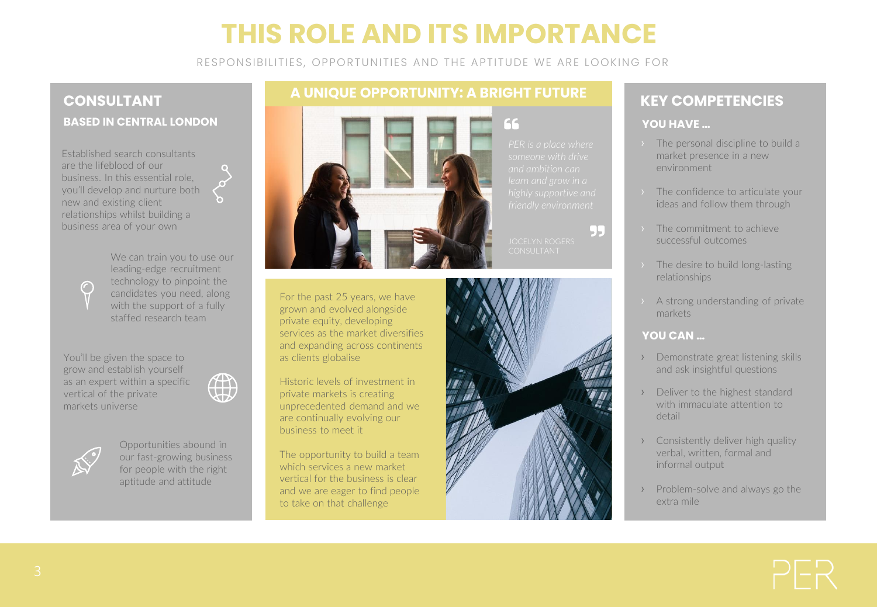# **THIS ROLE AND ITS IMPORTANCE**

RESPONSIBILITIES, OPPORTUNITIES AND THE APTITUDE WE ARE LOOKING FOR

## **CONSULTANT BASED IN CENTRAL LONDON**

Established search consultants are the lifeblood of our business. In this essential role, you'll develop and nurture both new and existing client relationships whilst building a business area of your own

> We can train you to use our leading-edge recruitment technology to pinpoint the candidates you need, along with the support of a fully staffed research team

You'll be given the space to grow and establish yourself as an expert within a specific vertical of the private markets universe





 $\bigcap$ 

Opportunities abound in our fast-growing business for people with the right aptitude and attitude

## **A UNIQUE OPPORTUNITY: A BRIGHT FUTURE**



For the past 25 years, we have grown and evolved alongside private equity, developing services as the market diversifies and expanding across continents as clients globalise

Historic levels of investment in private markets is creating unprecedented demand and we are continually evolving our business to meet it

The opportunity to build a team which services a new market vertical for the business is clear and we are eager to find people to take on that challenge

66

- 1-



## **KEY COMPETENCIES**

### **YOU HAVE …**

- › The personal discipline to build a market presence in a new environment
- › The confidence to articulate your ideas and follow them through
- › The commitment to achieve successful outcomes
- › The desire to build long-lasting relationships
- › A strong understanding of private markets

### **YOU CAN …**

- › Demonstrate great listening skills and ask insightful questions
- › Deliver to the highest standard with immaculate attention to detail
- › Consistently deliver high quality verbal, written, formal and informal output
- › Problem-solve and always go the extra mile

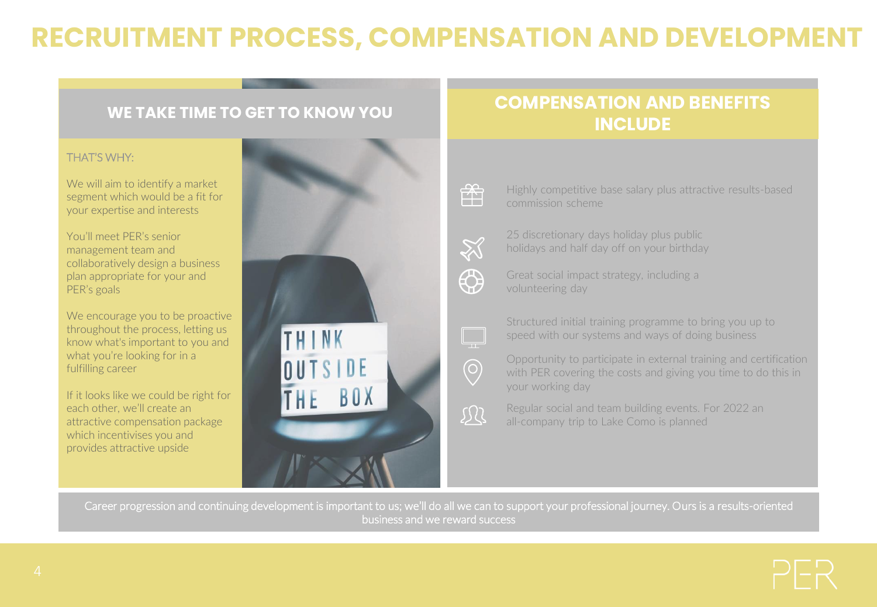# **RECRUITMENT PROCESS, COMPENSATION AND DEVELOPMENT**

### THAT'S WHY:

We will aim to identify a market segment which would be a fit for your expertise and interests

You'll meet PER's senior management team and collaboratively design a business plan appropriate for your and PER's goals

We encourage you to be proactive throughout the process, letting us know what's important to you and what you're looking for in a fulfilling career

If it looks like we could be right for each other, we'll create an attractive compensation package which incentivises you and provides attractive upside



## **WE TAKE TIME TO GET TO KNOW YOU COMPENSATION AND BENEFITS INCLUDE**



Highly competitive base salary plus attractive results-based commission scheme



25 discretionary days holiday plus public holidays and half day off on your birthday



Great social impact strategy, including a volunteering day



 $\bigodot$ 

现

Structured initial training programme to bring you up to speed with our systems and ways of doing business

Opportunity to participate in external training and certification with PER covering the costs and giving you time to do this in your working day

Regular social and team building events. For 2022 an all-company trip to Lake Como is planned

Career progression and continuing development is important to us; we'll do all we can to support your professional journey. Ours is a results-oriented business and we reward success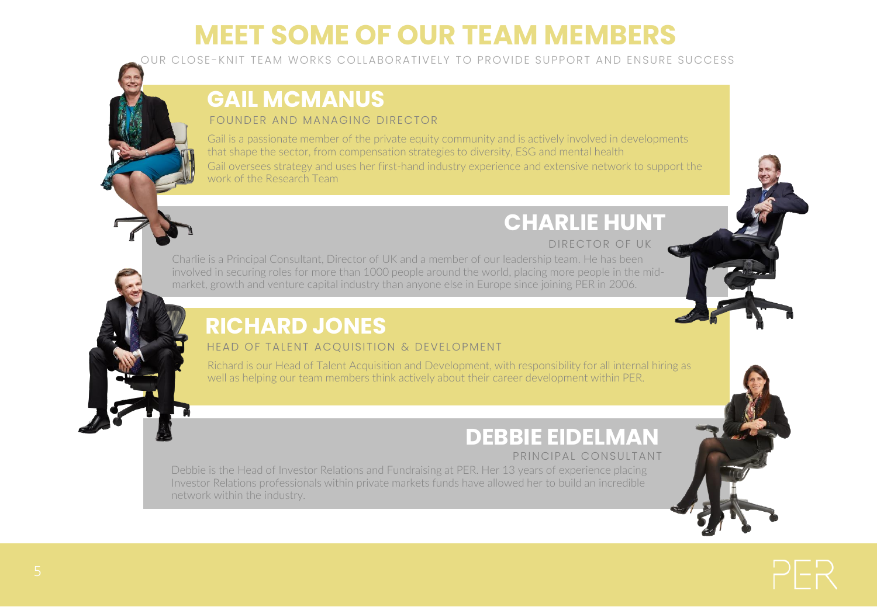# **MEET SOME OF OUR TEAM MEMBERS**

OUR CLOSE -KNIT TEAM WORKS COLLABORATIVELY TO PROVIDE SUPPORT AND ENSURE SUCCESS

## **GAIL MCMANUS**

### FOUNDER AND MANAGING DIRECTOR

Gail is a passionate member of the private equity community and is actively involved in developments that shape the sector, from compensation strategies to diversity, ESG and mental health

Gail oversees strategy and uses her first-hand industry experience and extensive network to support the work of the Research Team

## DIRECTOR OF UK **CHARLIE HUNT**

Charlie is a Principal Consultant, Director of UK and a member of our leadership team. He has been involved in securing roles for more than 1000 people around the world, placing more people in the midmarket, growth and venture capital industry than anyone else in Europe since joining PER in 2006.

## **RICHARD JONES**

## HEAD OF TALENT ACQUISITION & DEVELOPMENT

Richard is our Head of Talent Acquisition and Development, with responsibility for all internal hiring as well as helping our team members think actively about their career development within PER.

# **DEBBIE EIDELMAN**

## PRINCIPAL CONSULTANT

Debbie is the Head of Investor Relations and Fundraising at PER. Her 13 years of experience placing Investor Relations professionals within private markets funds have allowed her to build an incredible network within the industry.